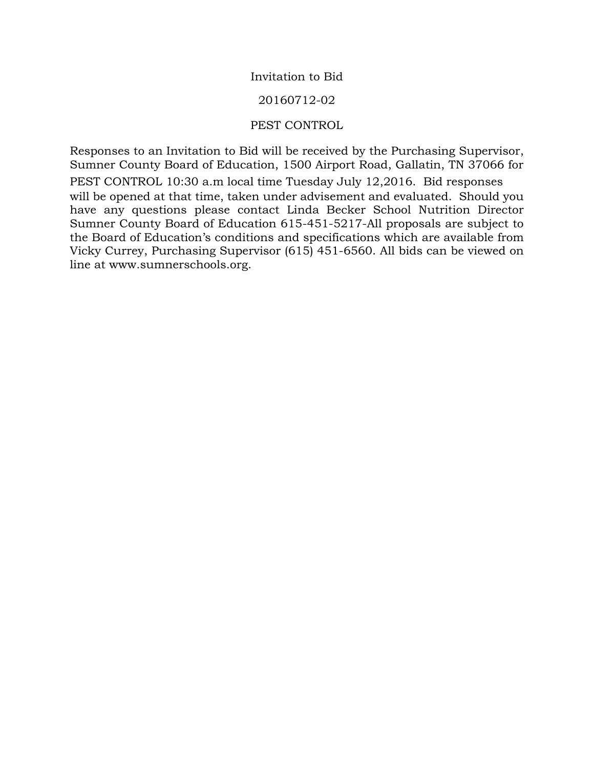#### Invitation to Bid

#### 20160712-02

#### PEST CONTROL

Responses to an Invitation to Bid will be received by the Purchasing Supervisor, Sumner County Board of Education, 1500 Airport Road, Gallatin, TN 37066 for PEST CONTROL 10:30 a.m local time Tuesday July 12,2016. Bid responses will be opened at that time, taken under advisement and evaluated. Should you have any questions please contact Linda Becker School Nutrition Director Sumner County Board of Education 615-451-5217-All proposals are subject to the Board of Education's conditions and specifications which are available from Vicky Currey, Purchasing Supervisor (615) 451-6560. All bids can be viewed on line at www.sumnerschools.org.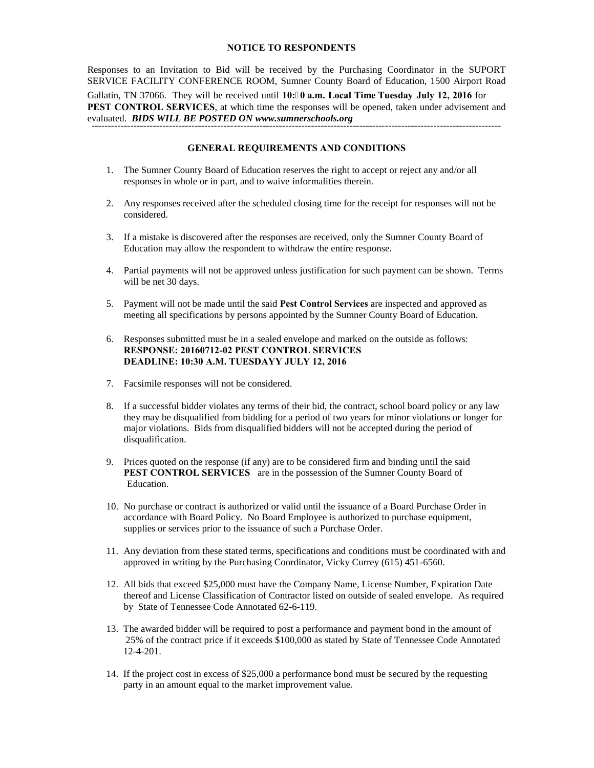#### **NOTICE TO RESPONDENTS**

Responses to an Invitation to Bid will be received by the Purchasing Coordinator in the SUPORT SERVICE FACILITY CONFERENCE ROOM, Sumner County Board of Education, 1500 Airport Road Gallatin, TN 37066. They will be received until **10:0 a.m. Local Time Tuesday July 12, 2016** for **PEST CONTROL SERVICES**, at which time the responses will be opened, taken under advisement and evaluated. *BIDS WILL BE POSTED ON www.sumnerschools.org*  -------------------------------------------------------------------------------------------------------------------------------

#### **GENERAL REQUIREMENTS AND CONDITIONS**

- 1. The Sumner County Board of Education reserves the right to accept or reject any and/or all responses in whole or in part, and to waive informalities therein.
- 2. Any responses received after the scheduled closing time for the receipt for responses will not be considered.
- 3. If a mistake is discovered after the responses are received, only the Sumner County Board of Education may allow the respondent to withdraw the entire response.
- 4. Partial payments will not be approved unless justification for such payment can be shown. Terms will be net 30 days.
- 5. Payment will not be made until the said **Pest Control Services** are inspected and approved as meeting all specifications by persons appointed by the Sumner County Board of Education.
- 6. Responses submitted must be in a sealed envelope and marked on the outside as follows: **RESPONSE: 20160712-02 PEST CONTROL SERVICES DEADLINE: 10:30 A.M. TUESDAYY JULY 12, 2016**
- 7. Facsimile responses will not be considered.
- 8. If a successful bidder violates any terms of their bid, the contract, school board policy or any law they may be disqualified from bidding for a period of two years for minor violations or longer for major violations. Bids from disqualified bidders will not be accepted during the period of disqualification.
- 9. Prices quoted on the response (if any) are to be considered firm and binding until the said **PEST CONTROL SERVICES** are in the possession of the Sumner County Board of Education.
- 10. No purchase or contract is authorized or valid until the issuance of a Board Purchase Order in accordance with Board Policy. No Board Employee is authorized to purchase equipment, supplies or services prior to the issuance of such a Purchase Order.
- 11. Any deviation from these stated terms, specifications and conditions must be coordinated with and approved in writing by the Purchasing Coordinator, Vicky Currey (615) 451-6560.
- 12. All bids that exceed \$25,000 must have the Company Name, License Number, Expiration Date thereof and License Classification of Contractor listed on outside of sealed envelope. As required by State of Tennessee Code Annotated 62-6-119.
- 13. The awarded bidder will be required to post a performance and payment bond in the amount of 25% of the contract price if it exceeds \$100,000 as stated by State of Tennessee Code Annotated 12-4-201.
- 14. If the project cost in excess of \$25,000 a performance bond must be secured by the requesting party in an amount equal to the market improvement value.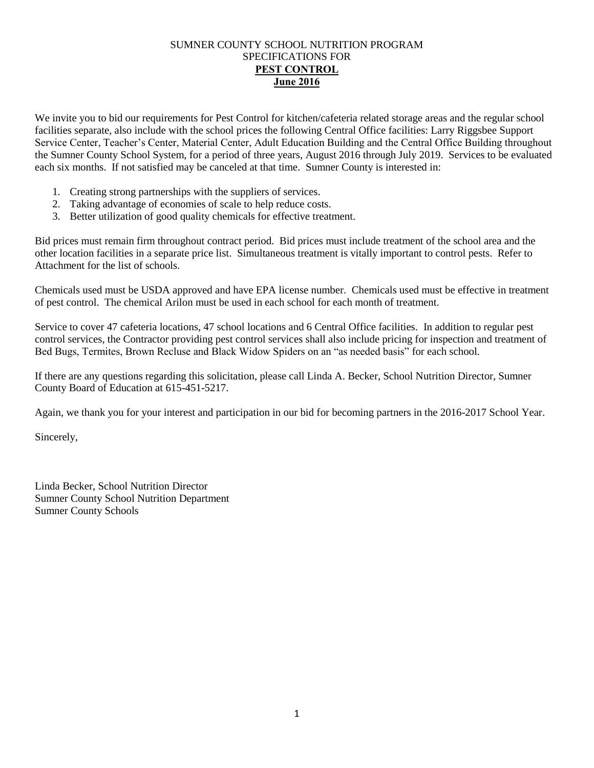#### SUMNER COUNTY SCHOOL NUTRITION PROGRAM SPECIFICATIONS FOR **PEST CONTROL June 2016**

We invite you to bid our requirements for Pest Control for kitchen/cafeteria related storage areas and the regular school facilities separate, also include with the school prices the following Central Office facilities: Larry Riggsbee Support Service Center, Teacher's Center, Material Center, Adult Education Building and the Central Office Building throughout the Sumner County School System, for a period of three years, August 2016 through July 2019. Services to be evaluated each six months. If not satisfied may be canceled at that time. Sumner County is interested in:

- 1. Creating strong partnerships with the suppliers of services.
- 2. Taking advantage of economies of scale to help reduce costs.
- 3. Better utilization of good quality chemicals for effective treatment.

Bid prices must remain firm throughout contract period. Bid prices must include treatment of the school area and the other location facilities in a separate price list. Simultaneous treatment is vitally important to control pests. Refer to Attachment for the list of schools.

Chemicals used must be USDA approved and have EPA license number. Chemicals used must be effective in treatment of pest control. The chemical Arilon must be used in each school for each month of treatment.

Service to cover 47 cafeteria locations, 47 school locations and 6 Central Office facilities. In addition to regular pest control services, the Contractor providing pest control services shall also include pricing for inspection and treatment of Bed Bugs, Termites, Brown Recluse and Black Widow Spiders on an "as needed basis" for each school.

If there are any questions regarding this solicitation, please call Linda A. Becker, School Nutrition Director, Sumner County Board of Education at 615-451-5217.

Again, we thank you for your interest and participation in our bid for becoming partners in the 2016-2017 School Year.

Sincerely,

Linda Becker, School Nutrition Director Sumner County School Nutrition Department Sumner County Schools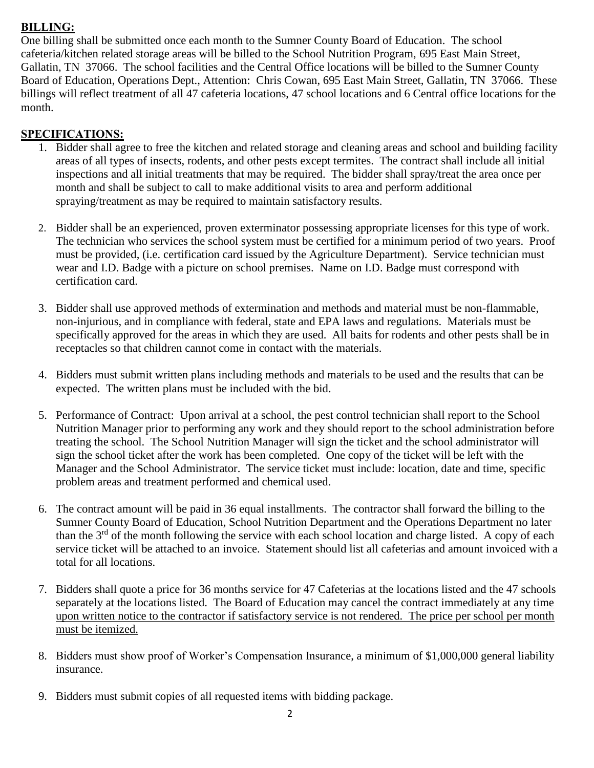# **BILLING:**

One billing shall be submitted once each month to the Sumner County Board of Education. The school cafeteria/kitchen related storage areas will be billed to the School Nutrition Program, 695 East Main Street, Gallatin, TN 37066. The school facilities and the Central Office locations will be billed to the Sumner County Board of Education, Operations Dept., Attention: Chris Cowan, 695 East Main Street, Gallatin, TN 37066. These billings will reflect treatment of all 47 cafeteria locations, 47 school locations and 6 Central office locations for the month.

# **SPECIFICATIONS:**

- 1. Bidder shall agree to free the kitchen and related storage and cleaning areas and school and building facility areas of all types of insects, rodents, and other pests except termites. The contract shall include all initial inspections and all initial treatments that may be required. The bidder shall spray/treat the area once per month and shall be subject to call to make additional visits to area and perform additional spraying/treatment as may be required to maintain satisfactory results.
- 2. Bidder shall be an experienced, proven exterminator possessing appropriate licenses for this type of work. The technician who services the school system must be certified for a minimum period of two years. Proof must be provided, (i.e. certification card issued by the Agriculture Department). Service technician must wear and I.D. Badge with a picture on school premises. Name on I.D. Badge must correspond with certification card.
- 3. Bidder shall use approved methods of extermination and methods and material must be non-flammable, non-injurious, and in compliance with federal, state and EPA laws and regulations. Materials must be specifically approved for the areas in which they are used. All baits for rodents and other pests shall be in receptacles so that children cannot come in contact with the materials.
- 4. Bidders must submit written plans including methods and materials to be used and the results that can be expected. The written plans must be included with the bid.
- 5. Performance of Contract: Upon arrival at a school, the pest control technician shall report to the School Nutrition Manager prior to performing any work and they should report to the school administration before treating the school. The School Nutrition Manager will sign the ticket and the school administrator will sign the school ticket after the work has been completed. One copy of the ticket will be left with the Manager and the School Administrator. The service ticket must include: location, date and time, specific problem areas and treatment performed and chemical used.
- 6. The contract amount will be paid in 36 equal installments. The contractor shall forward the billing to the Sumner County Board of Education, School Nutrition Department and the Operations Department no later than the  $3<sup>rd</sup>$  of the month following the service with each school location and charge listed. A copy of each service ticket will be attached to an invoice. Statement should list all cafeterias and amount invoiced with a total for all locations.
- 7. Bidders shall quote a price for 36 months service for 47 Cafeterias at the locations listed and the 47 schools separately at the locations listed. The Board of Education may cancel the contract immediately at any time upon written notice to the contractor if satisfactory service is not rendered. The price per school per month must be itemized.
- 8. Bidders must show proof of Worker's Compensation Insurance, a minimum of \$1,000,000 general liability insurance.
- 9. Bidders must submit copies of all requested items with bidding package.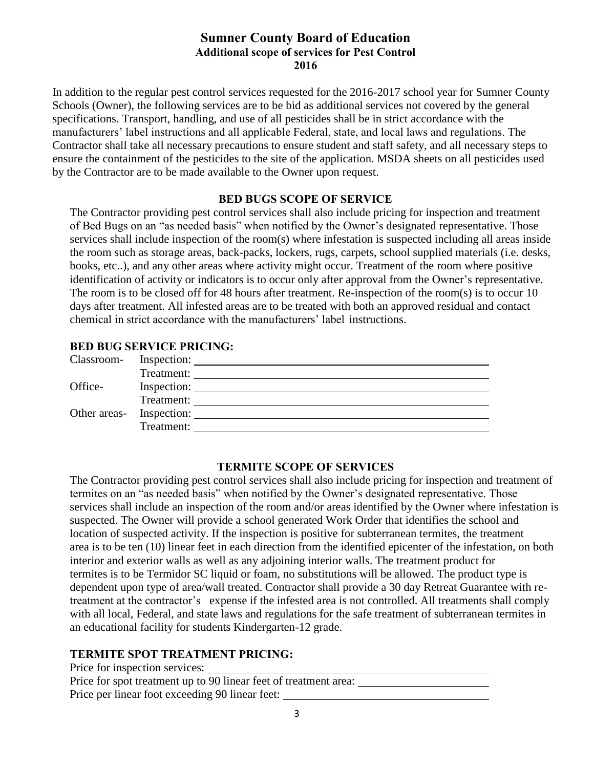# **Sumner County Board of Education Additional scope of services for Pest Control 2016**

In addition to the regular pest control services requested for the 2016-2017 school year for Sumner County Schools (Owner), the following services are to be bid as additional services not covered by the general specifications. Transport, handling, and use of all pesticides shall be in strict accordance with the manufacturers' label instructions and all applicable Federal, state, and local laws and regulations. The Contractor shall take all necessary precautions to ensure student and staff safety, and all necessary steps to ensure the containment of the pesticides to the site of the application. MSDA sheets on all pesticides used by the Contractor are to be made available to the Owner upon request.

#### **BED BUGS SCOPE OF SERVICE**

The Contractor providing pest control services shall also include pricing for inspection and treatment of Bed Bugs on an "as needed basis" when notified by the Owner's designated representative. Those services shall include inspection of the room(s) where infestation is suspected including all areas inside the room such as storage areas, back-packs, lockers, rugs, carpets, school supplied materials (i.e. desks, books, etc..), and any other areas where activity might occur. Treatment of the room where positive identification of activity or indicators is to occur only after approval from the Owner's representative. The room is to be closed off for 48 hours after treatment. Re-inspection of the room(s) is to occur 10 days after treatment. All infested areas are to be treated with both an approved residual and contact chemical in strict accordance with the manufacturers' label instructions.

#### **BED BUG SERVICE PRICING:**

#### **TERMITE SCOPE OF SERVICES**

The Contractor providing pest control services shall also include pricing for inspection and treatment of termites on an "as needed basis" when notified by the Owner's designated representative. Those services shall include an inspection of the room and/or areas identified by the Owner where infestation is suspected. The Owner will provide a school generated Work Order that identifies the school and location of suspected activity. If the inspection is positive for subterranean termites, the treatment area is to be ten (10) linear feet in each direction from the identified epicenter of the infestation, on both interior and exterior walls as well as any adjoining interior walls. The treatment product for termites is to be Termidor SC liquid or foam, no substitutions will be allowed. The product type is dependent upon type of area/wall treated. Contractor shall provide a 30 day Retreat Guarantee with retreatment at the contractor's expense if the infested area is not controlled. All treatments shall comply with all local, Federal, and state laws and regulations for the safe treatment of subterranean termites in an educational facility for students Kindergarten-12 grade.

#### **TERMITE SPOT TREATMENT PRICING:**

| Price for inspection services:                                   |
|------------------------------------------------------------------|
| Price for spot treatment up to 90 linear feet of treatment area: |
| Price per linear foot exceeding 90 linear feet:                  |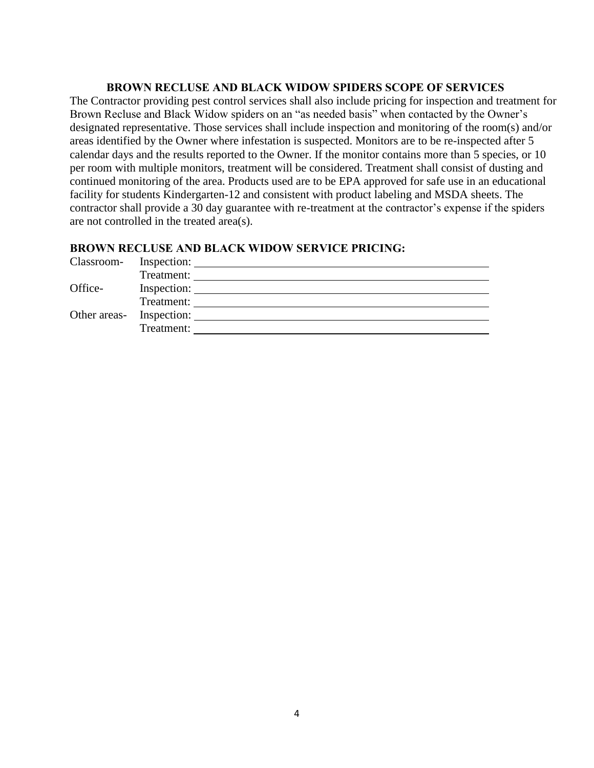#### **BROWN RECLUSE AND BLACK WIDOW SPIDERS SCOPE OF SERVICES**

The Contractor providing pest control services shall also include pricing for inspection and treatment for Brown Recluse and Black Widow spiders on an "as needed basis" when contacted by the Owner's designated representative. Those services shall include inspection and monitoring of the room(s) and/or areas identified by the Owner where infestation is suspected. Monitors are to be re-inspected after 5 calendar days and the results reported to the Owner. If the monitor contains more than 5 species, or 10 per room with multiple monitors, treatment will be considered. Treatment shall consist of dusting and continued monitoring of the area. Products used are to be EPA approved for safe use in an educational facility for students Kindergarten-12 and consistent with product labeling and MSDA sheets. The contractor shall provide a 30 day guarantee with re-treatment at the contractor's expense if the spiders are not controlled in the treated area(s).

#### **BROWN RECLUSE AND BLACK WIDOW SERVICE PRICING:**

| Classroom- | Inspection:              |
|------------|--------------------------|
|            | Treatment:               |
| Office-    | Inspection:              |
|            | Treatment:               |
|            | Other areas- Inspection: |
|            | Treatment:               |
|            |                          |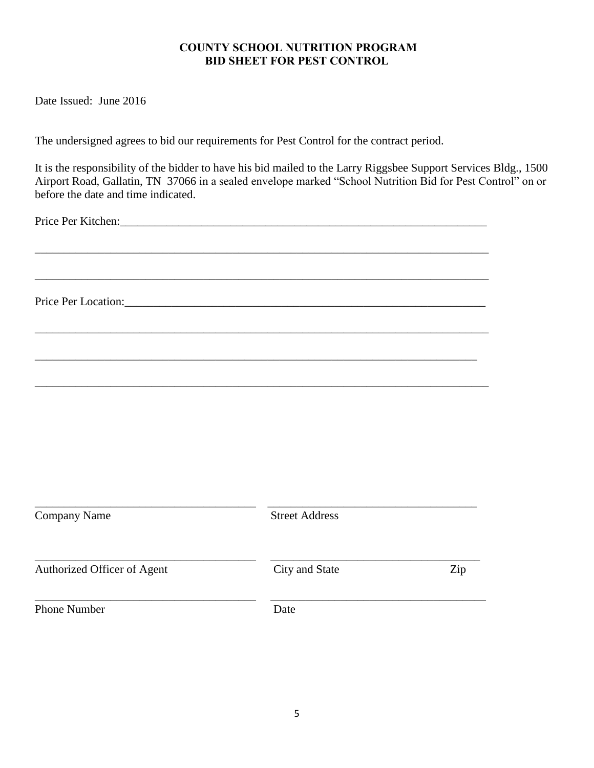#### **COUNTY SCHOOL NUTRITION PROGRAM BID SHEET FOR PEST CONTROL**

Date Issued: June 2016

The undersigned agrees to bid our requirements for Pest Control for the contract period.

It is the responsibility of the bidder to have his bid mailed to the Larry Riggsbee Support Services Bldg., 1500 Airport Road, Gallatin, TN 37066 in a sealed envelope marked "School Nutrition Bid for Pest Control" on or before the date and time indicated.

\_\_\_\_\_\_\_\_\_\_\_\_\_\_\_\_\_\_\_\_\_\_\_\_\_\_\_\_\_\_\_\_\_\_\_\_\_\_\_\_\_\_\_\_\_\_\_\_\_\_\_\_\_\_\_\_\_\_\_\_\_\_\_\_\_\_\_\_\_\_\_\_\_\_\_\_\_\_

\_\_\_\_\_\_\_\_\_\_\_\_\_\_\_\_\_\_\_\_\_\_\_\_\_\_\_\_\_\_\_\_\_\_\_\_\_\_\_\_\_\_\_\_\_\_\_\_\_\_\_\_\_\_\_\_\_\_\_\_\_\_\_\_\_\_\_\_\_\_\_\_\_\_\_\_\_\_

\_\_\_\_\_\_\_\_\_\_\_\_\_\_\_\_\_\_\_\_\_\_\_\_\_\_\_\_\_\_\_\_\_\_\_\_\_\_\_\_\_\_\_\_\_\_\_\_\_\_\_\_\_\_\_\_\_\_\_\_\_\_\_\_\_\_\_\_\_\_\_\_\_\_\_\_\_\_

\_\_\_\_\_\_\_\_\_\_\_\_\_\_\_\_\_\_\_\_\_\_\_\_\_\_\_\_\_\_\_\_\_\_\_\_\_\_\_\_\_\_\_\_\_\_\_\_\_\_\_\_\_\_\_\_\_\_\_\_\_\_\_\_\_\_\_\_\_\_\_\_\_\_\_\_\_\_

\_\_\_\_\_\_\_\_\_\_\_\_\_\_\_\_\_\_\_\_\_\_\_\_\_\_\_\_\_\_\_\_\_\_\_\_\_\_\_\_\_\_\_\_\_\_\_\_\_\_\_\_\_\_\_\_\_\_\_\_\_\_\_\_\_\_\_\_\_\_\_\_\_\_\_\_

Price Per Kitchen:\_\_\_\_\_\_\_\_\_\_\_\_\_\_\_\_\_\_\_\_\_\_\_\_\_\_\_\_\_\_\_\_\_\_\_\_\_\_\_\_\_\_\_\_\_\_\_\_\_\_\_\_\_\_\_\_\_\_\_\_\_\_\_

Price Per Location:\_\_\_\_\_\_\_\_\_\_\_\_\_\_\_\_\_\_\_\_\_\_\_\_\_\_\_\_\_\_\_\_\_\_\_\_\_\_\_\_\_\_\_\_\_\_\_\_\_\_\_\_\_\_\_\_\_\_\_\_\_\_

| <b>Company Name</b>         | <b>Street Address</b> |     |
|-----------------------------|-----------------------|-----|
| Authorized Officer of Agent | City and State        | Zip |
| <b>Phone Number</b>         | Date                  |     |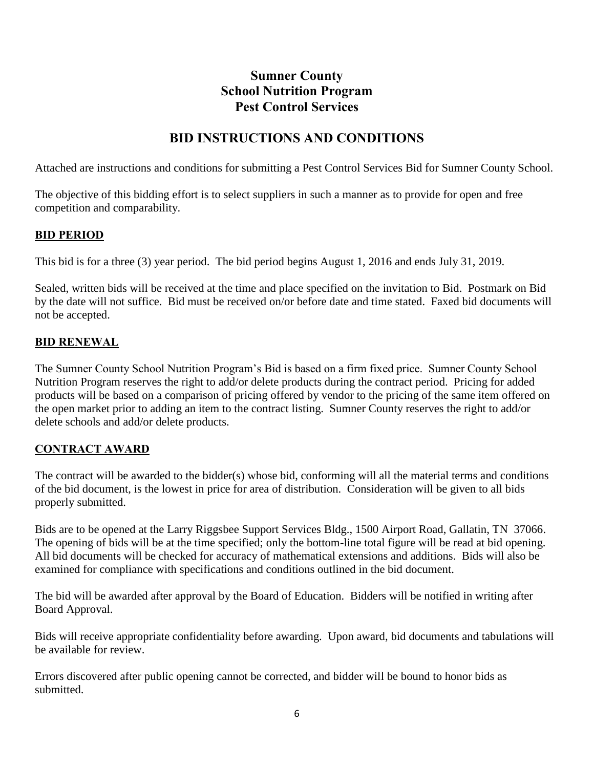# **Sumner County School Nutrition Program Pest Control Services**

# **BID INSTRUCTIONS AND CONDITIONS**

Attached are instructions and conditions for submitting a Pest Control Services Bid for Sumner County School.

The objective of this bidding effort is to select suppliers in such a manner as to provide for open and free competition and comparability.

# **BID PERIOD**

This bid is for a three (3) year period. The bid period begins August 1, 2016 and ends July 31, 2019.

Sealed, written bids will be received at the time and place specified on the invitation to Bid. Postmark on Bid by the date will not suffice. Bid must be received on/or before date and time stated. Faxed bid documents will not be accepted.

#### **BID RENEWAL**

The Sumner County School Nutrition Program's Bid is based on a firm fixed price. Sumner County School Nutrition Program reserves the right to add/or delete products during the contract period. Pricing for added products will be based on a comparison of pricing offered by vendor to the pricing of the same item offered on the open market prior to adding an item to the contract listing. Sumner County reserves the right to add/or delete schools and add/or delete products.

### **CONTRACT AWARD**

The contract will be awarded to the bidder(s) whose bid, conforming will all the material terms and conditions of the bid document, is the lowest in price for area of distribution. Consideration will be given to all bids properly submitted.

Bids are to be opened at the Larry Riggsbee Support Services Bldg., 1500 Airport Road, Gallatin, TN 37066. The opening of bids will be at the time specified; only the bottom-line total figure will be read at bid opening. All bid documents will be checked for accuracy of mathematical extensions and additions. Bids will also be examined for compliance with specifications and conditions outlined in the bid document.

The bid will be awarded after approval by the Board of Education. Bidders will be notified in writing after Board Approval.

Bids will receive appropriate confidentiality before awarding. Upon award, bid documents and tabulations will be available for review.

Errors discovered after public opening cannot be corrected, and bidder will be bound to honor bids as submitted.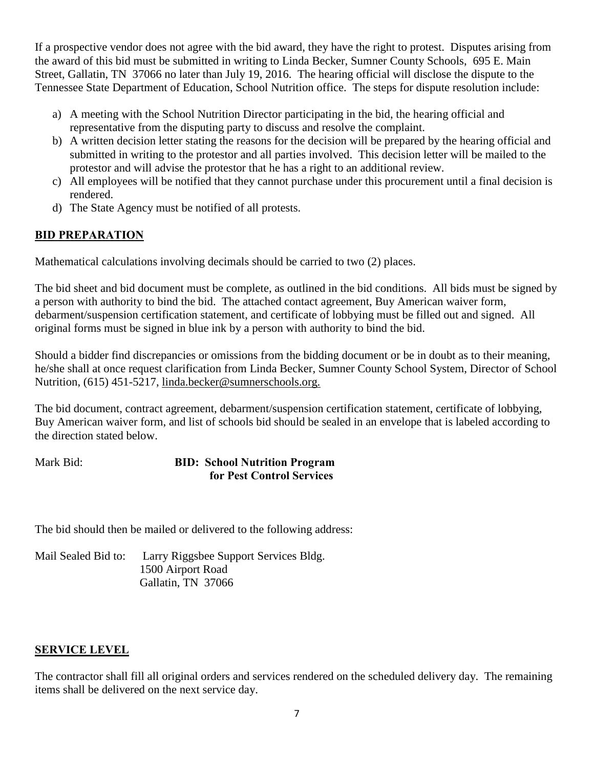If a prospective vendor does not agree with the bid award, they have the right to protest. Disputes arising from the award of this bid must be submitted in writing to Linda Becker, Sumner County Schools, 695 E. Main Street, Gallatin, TN 37066 no later than July 19, 2016. The hearing official will disclose the dispute to the Tennessee State Department of Education, School Nutrition office. The steps for dispute resolution include:

- a) A meeting with the School Nutrition Director participating in the bid, the hearing official and representative from the disputing party to discuss and resolve the complaint.
- b) A written decision letter stating the reasons for the decision will be prepared by the hearing official and submitted in writing to the protestor and all parties involved. This decision letter will be mailed to the protestor and will advise the protestor that he has a right to an additional review.
- c) All employees will be notified that they cannot purchase under this procurement until a final decision is rendered.
- d) The State Agency must be notified of all protests.

# **BID PREPARATION**

Mathematical calculations involving decimals should be carried to two (2) places.

The bid sheet and bid document must be complete, as outlined in the bid conditions. All bids must be signed by a person with authority to bind the bid. The attached contact agreement, Buy American waiver form, debarment/suspension certification statement, and certificate of lobbying must be filled out and signed. All original forms must be signed in blue ink by a person with authority to bind the bid.

Should a bidder find discrepancies or omissions from the bidding document or be in doubt as to their meaning, he/she shall at once request clarification from Linda Becker, Sumner County School System, Director of School Nutrition, (615) 451-5217, linda.becker@sumnerschools.org.

The bid document, contract agreement, debarment/suspension certification statement, certificate of lobbying, Buy American waiver form, and list of schools bid should be sealed in an envelope that is labeled according to the direction stated below.

Mark Bid: **BID: School Nutrition Program for Pest Control Services** 

The bid should then be mailed or delivered to the following address:

Mail Sealed Bid to: Larry Riggsbee Support Services Bldg. 1500 Airport Road Gallatin, TN 37066

#### **SERVICE LEVEL**

The contractor shall fill all original orders and services rendered on the scheduled delivery day. The remaining items shall be delivered on the next service day.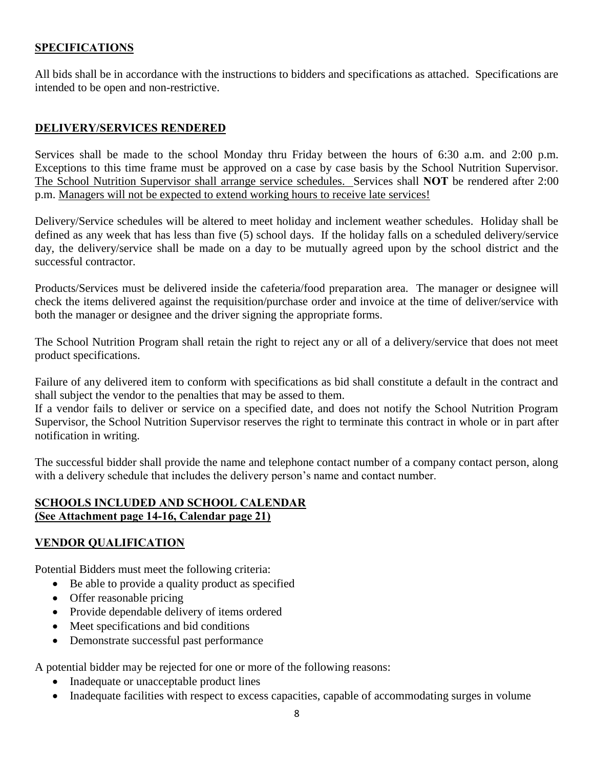### **SPECIFICATIONS**

All bids shall be in accordance with the instructions to bidders and specifications as attached. Specifications are intended to be open and non-restrictive.

### **DELIVERY/SERVICES RENDERED**

Services shall be made to the school Monday thru Friday between the hours of 6:30 a.m. and 2:00 p.m. Exceptions to this time frame must be approved on a case by case basis by the School Nutrition Supervisor. The School Nutrition Supervisor shall arrange service schedules. Services shall **NOT** be rendered after 2:00 p.m. Managers will not be expected to extend working hours to receive late services!

Delivery/Service schedules will be altered to meet holiday and inclement weather schedules. Holiday shall be defined as any week that has less than five (5) school days. If the holiday falls on a scheduled delivery/service day, the delivery/service shall be made on a day to be mutually agreed upon by the school district and the successful contractor.

Products/Services must be delivered inside the cafeteria/food preparation area. The manager or designee will check the items delivered against the requisition/purchase order and invoice at the time of deliver/service with both the manager or designee and the driver signing the appropriate forms.

The School Nutrition Program shall retain the right to reject any or all of a delivery/service that does not meet product specifications.

Failure of any delivered item to conform with specifications as bid shall constitute a default in the contract and shall subject the vendor to the penalties that may be assed to them.

If a vendor fails to deliver or service on a specified date, and does not notify the School Nutrition Program Supervisor, the School Nutrition Supervisor reserves the right to terminate this contract in whole or in part after notification in writing.

The successful bidder shall provide the name and telephone contact number of a company contact person, along with a delivery schedule that includes the delivery person's name and contact number.

#### **SCHOOLS INCLUDED AND SCHOOL CALENDAR (See Attachment page 14-16, Calendar page 21)**

### **VENDOR QUALIFICATION**

Potential Bidders must meet the following criteria:

- Be able to provide a quality product as specified
- Offer reasonable pricing
- Provide dependable delivery of items ordered
- Meet specifications and bid conditions
- Demonstrate successful past performance

A potential bidder may be rejected for one or more of the following reasons:

- Inadequate or unacceptable product lines
- Inadequate facilities with respect to excess capacities, capable of accommodating surges in volume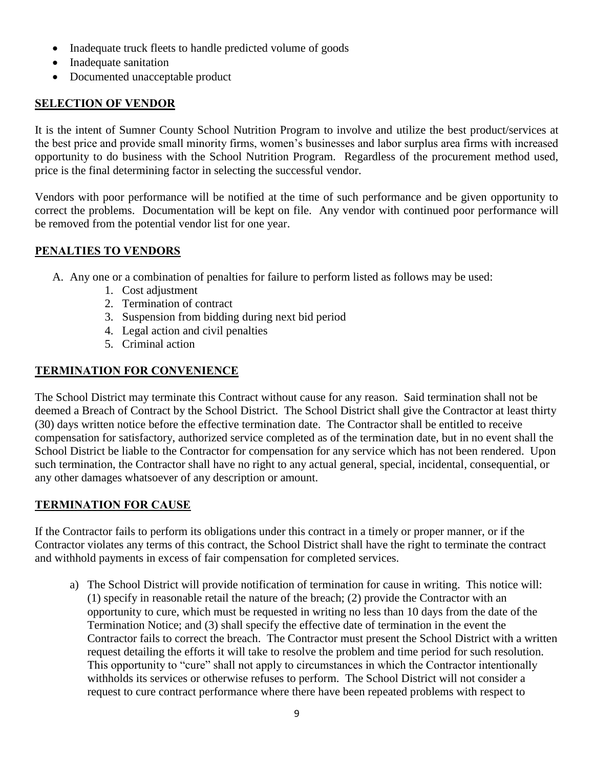- Inadequate truck fleets to handle predicted volume of goods
- Inadequate sanitation
- Documented unacceptable product

# **SELECTION OF VENDOR**

It is the intent of Sumner County School Nutrition Program to involve and utilize the best product/services at the best price and provide small minority firms, women's businesses and labor surplus area firms with increased opportunity to do business with the School Nutrition Program. Regardless of the procurement method used, price is the final determining factor in selecting the successful vendor.

Vendors with poor performance will be notified at the time of such performance and be given opportunity to correct the problems. Documentation will be kept on file. Any vendor with continued poor performance will be removed from the potential vendor list for one year.

# **PENALTIES TO VENDORS**

- A. Any one or a combination of penalties for failure to perform listed as follows may be used:
	- 1. Cost adjustment
	- 2. Termination of contract
	- 3. Suspension from bidding during next bid period
	- 4. Legal action and civil penalties
	- 5. Criminal action

# **TERMINATION FOR CONVENIENCE**

The School District may terminate this Contract without cause for any reason. Said termination shall not be deemed a Breach of Contract by the School District. The School District shall give the Contractor at least thirty (30) days written notice before the effective termination date. The Contractor shall be entitled to receive compensation for satisfactory, authorized service completed as of the termination date, but in no event shall the School District be liable to the Contractor for compensation for any service which has not been rendered. Upon such termination, the Contractor shall have no right to any actual general, special, incidental, consequential, or any other damages whatsoever of any description or amount.

# **TERMINATION FOR CAUSE**

If the Contractor fails to perform its obligations under this contract in a timely or proper manner, or if the Contractor violates any terms of this contract, the School District shall have the right to terminate the contract and withhold payments in excess of fair compensation for completed services.

a) The School District will provide notification of termination for cause in writing. This notice will: (1) specify in reasonable retail the nature of the breach; (2) provide the Contractor with an opportunity to cure, which must be requested in writing no less than 10 days from the date of the Termination Notice; and (3) shall specify the effective date of termination in the event the Contractor fails to correct the breach. The Contractor must present the School District with a written request detailing the efforts it will take to resolve the problem and time period for such resolution. This opportunity to "cure" shall not apply to circumstances in which the Contractor intentionally withholds its services or otherwise refuses to perform. The School District will not consider a request to cure contract performance where there have been repeated problems with respect to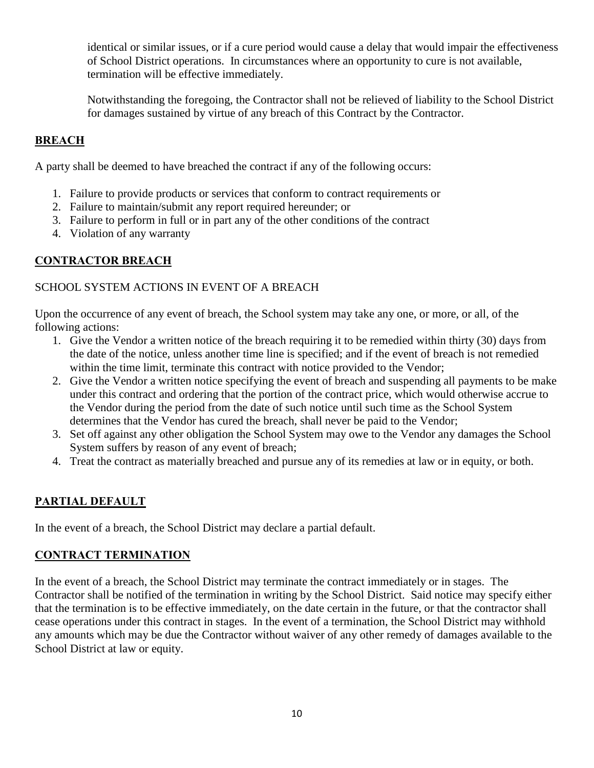identical or similar issues, or if a cure period would cause a delay that would impair the effectiveness of School District operations. In circumstances where an opportunity to cure is not available, termination will be effective immediately.

Notwithstanding the foregoing, the Contractor shall not be relieved of liability to the School District for damages sustained by virtue of any breach of this Contract by the Contractor.

# **BREACH**

A party shall be deemed to have breached the contract if any of the following occurs:

- 1. Failure to provide products or services that conform to contract requirements or
- 2. Failure to maintain/submit any report required hereunder; or
- 3. Failure to perform in full or in part any of the other conditions of the contract
- 4. Violation of any warranty

### **CONTRACTOR BREACH**

### SCHOOL SYSTEM ACTIONS IN EVENT OF A BREACH

Upon the occurrence of any event of breach, the School system may take any one, or more, or all, of the following actions:

- 1. Give the Vendor a written notice of the breach requiring it to be remedied within thirty (30) days from the date of the notice, unless another time line is specified; and if the event of breach is not remedied within the time limit, terminate this contract with notice provided to the Vendor;
- 2. Give the Vendor a written notice specifying the event of breach and suspending all payments to be make under this contract and ordering that the portion of the contract price, which would otherwise accrue to the Vendor during the period from the date of such notice until such time as the School System determines that the Vendor has cured the breach, shall never be paid to the Vendor;
- 3. Set off against any other obligation the School System may owe to the Vendor any damages the School System suffers by reason of any event of breach;
- 4. Treat the contract as materially breached and pursue any of its remedies at law or in equity, or both.

### **PARTIAL DEFAULT**

In the event of a breach, the School District may declare a partial default.

# **CONTRACT TERMINATION**

In the event of a breach, the School District may terminate the contract immediately or in stages. The Contractor shall be notified of the termination in writing by the School District. Said notice may specify either that the termination is to be effective immediately, on the date certain in the future, or that the contractor shall cease operations under this contract in stages. In the event of a termination, the School District may withhold any amounts which may be due the Contractor without waiver of any other remedy of damages available to the School District at law or equity.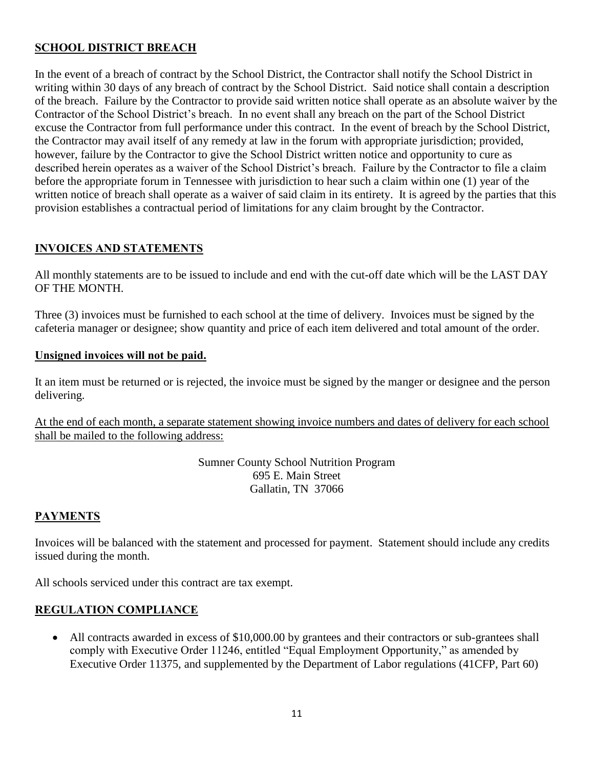# **SCHOOL DISTRICT BREACH**

In the event of a breach of contract by the School District, the Contractor shall notify the School District in writing within 30 days of any breach of contract by the School District. Said notice shall contain a description of the breach. Failure by the Contractor to provide said written notice shall operate as an absolute waiver by the Contractor of the School District's breach. In no event shall any breach on the part of the School District excuse the Contractor from full performance under this contract. In the event of breach by the School District, the Contractor may avail itself of any remedy at law in the forum with appropriate jurisdiction; provided, however, failure by the Contractor to give the School District written notice and opportunity to cure as described herein operates as a waiver of the School District's breach. Failure by the Contractor to file a claim before the appropriate forum in Tennessee with jurisdiction to hear such a claim within one (1) year of the written notice of breach shall operate as a waiver of said claim in its entirety. It is agreed by the parties that this provision establishes a contractual period of limitations for any claim brought by the Contractor.

### **INVOICES AND STATEMENTS**

All monthly statements are to be issued to include and end with the cut-off date which will be the LAST DAY OF THE MONTH.

Three (3) invoices must be furnished to each school at the time of delivery. Invoices must be signed by the cafeteria manager or designee; show quantity and price of each item delivered and total amount of the order.

#### **Unsigned invoices will not be paid.**

It an item must be returned or is rejected, the invoice must be signed by the manger or designee and the person delivering.

At the end of each month, a separate statement showing invoice numbers and dates of delivery for each school shall be mailed to the following address:

> Sumner County School Nutrition Program 695 E. Main Street Gallatin, TN 37066

# **PAYMENTS**

Invoices will be balanced with the statement and processed for payment. Statement should include any credits issued during the month.

All schools serviced under this contract are tax exempt.

### **REGULATION COMPLIANCE**

• All contracts awarded in excess of \$10,000.00 by grantees and their contractors or sub-grantees shall comply with Executive Order 11246, entitled "Equal Employment Opportunity," as amended by Executive Order 11375, and supplemented by the Department of Labor regulations (41CFP, Part 60)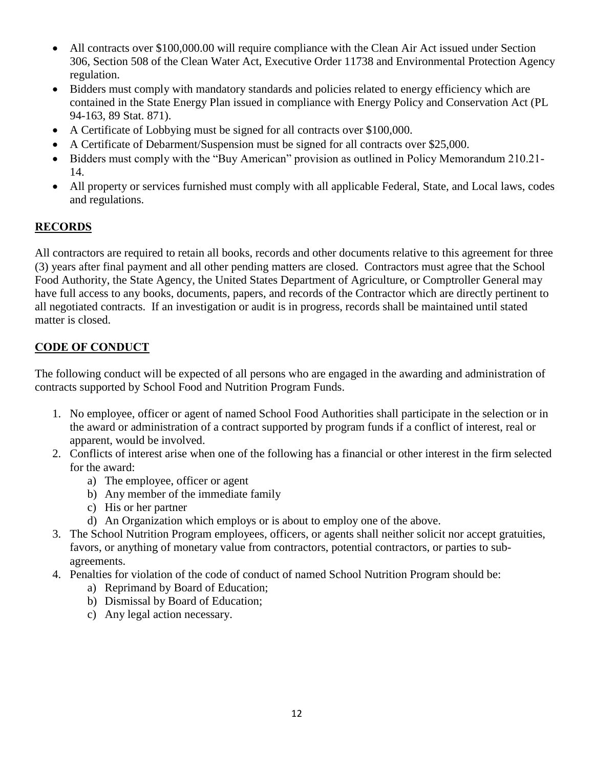- All contracts over \$100,000.00 will require compliance with the Clean Air Act issued under Section 306, Section 508 of the Clean Water Act, Executive Order 11738 and Environmental Protection Agency regulation.
- Bidders must comply with mandatory standards and policies related to energy efficiency which are contained in the State Energy Plan issued in compliance with Energy Policy and Conservation Act (PL 94-163, 89 Stat. 871).
- A Certificate of Lobbying must be signed for all contracts over \$100,000.
- A Certificate of Debarment/Suspension must be signed for all contracts over \$25,000.
- Bidders must comply with the "Buy American" provision as outlined in Policy Memorandum 210.21- 14.
- All property or services furnished must comply with all applicable Federal, State, and Local laws, codes and regulations.

# **RECORDS**

All contractors are required to retain all books, records and other documents relative to this agreement for three (3) years after final payment and all other pending matters are closed. Contractors must agree that the School Food Authority, the State Agency, the United States Department of Agriculture, or Comptroller General may have full access to any books, documents, papers, and records of the Contractor which are directly pertinent to all negotiated contracts. If an investigation or audit is in progress, records shall be maintained until stated matter is closed.

# **CODE OF CONDUCT**

The following conduct will be expected of all persons who are engaged in the awarding and administration of contracts supported by School Food and Nutrition Program Funds.

- 1. No employee, officer or agent of named School Food Authorities shall participate in the selection or in the award or administration of a contract supported by program funds if a conflict of interest, real or apparent, would be involved.
- 2. Conflicts of interest arise when one of the following has a financial or other interest in the firm selected for the award:
	- a) The employee, officer or agent
	- b) Any member of the immediate family
	- c) His or her partner
	- d) An Organization which employs or is about to employ one of the above.
- 3. The School Nutrition Program employees, officers, or agents shall neither solicit nor accept gratuities, favors, or anything of monetary value from contractors, potential contractors, or parties to subagreements.
- 4. Penalties for violation of the code of conduct of named School Nutrition Program should be:
	- a) Reprimand by Board of Education;
	- b) Dismissal by Board of Education;
	- c) Any legal action necessary.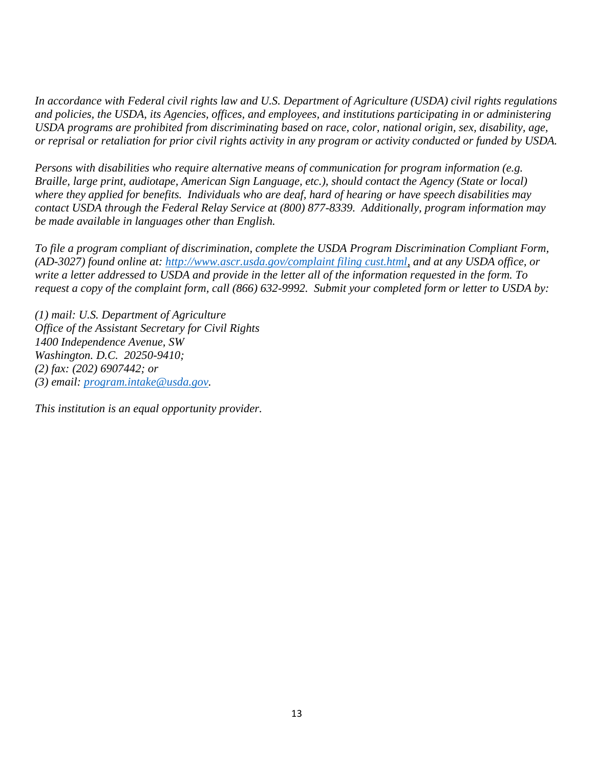*In accordance with Federal civil rights law and U.S. Department of Agriculture (USDA) civil rights regulations and policies, the USDA, its Agencies, offices, and employees, and institutions participating in or administering USDA programs are prohibited from discriminating based on race, color, national origin, sex, disability, age, or reprisal or retaliation for prior civil rights activity in any program or activity conducted or funded by USDA.* 

*Persons with disabilities who require alternative means of communication for program information (e.g. Braille, large print, audiotape, American Sign Language, etc.), should contact the Agency (State or local) where they applied for benefits. Individuals who are deaf, hard of hearing or have speech disabilities may contact USDA through the Federal Relay Service at (800) 877-8339. Additionally, program information may be made available in languages other than English.* 

*To file a program compliant of discrimination, complete the USDA Program Discrimination Compliant Form, (AD-3027) found online at: [http://www.ascr.usda.gov/complaint filing cust.html,](http://www.ascr.usda.gov/complaint%20filing%20cust.html) and at any USDA office, or write a letter addressed to USDA and provide in the letter all of the information requested in the form. To request a copy of the complaint form, call (866) 632-9992. Submit your completed form or letter to USDA by:* 

*(1) mail: U.S. Department of Agriculture Office of the Assistant Secretary for Civil Rights 1400 Independence Avenue, SW Washington. D.C. 20250-9410; (2) fax: (202) 6907442; or (3) email: [program.intake@usda.gov.](mailto:program.intake@usda.gov)* 

*This institution is an equal opportunity provider.*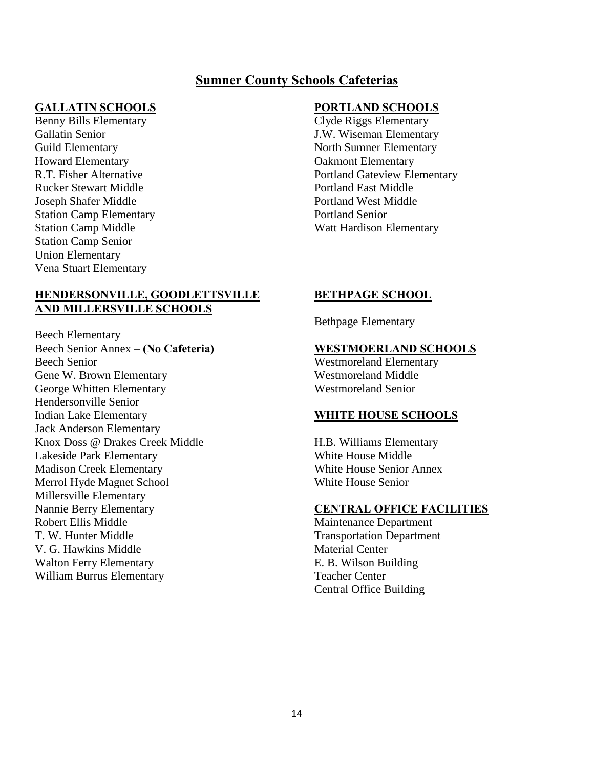# **Sumner County Schools Cafeterias**

#### **GALLATIN SCHOOLS PORTLAND SCHOOLS**

Benny Bills Elementary Clyde Riggs Elementary Howard Elementary Oakmont Elementary Rucker Stewart Middle **Portland East Middle** Portland East Middle Joseph Shafer Middle Portland West Middle Station Camp Elementary Portland Senior Station Camp Senior Union Elementary Vena Stuart Elementary

#### **HENDERSONVILLE, GOODLETTSVILLE BETHPAGE SCHOOL AND MILLERSVILLE SCHOOLS**

Beech Elementary Beech Senior Annex – **(No Cafeteria) WESTMOERLAND SCHOOLS**  Beech Senior Westmoreland Elementary Gene W. Brown Elementary Westmoreland Middle George Whitten Elementary Westmoreland Senior Hendersonville Senior Indian Lake Elementary **WHITE HOUSE SCHOOLS**  Jack Anderson Elementary Knox Doss @ Drakes Creek Middle **H.B. Williams Elementary** Lakeside Park Elementary White House Middle Madison Creek Elementary White House Senior Annex Merrol Hyde Magnet School White House Senior Millersville Elementary Nannie Berry Elementary **CENTRAL OFFICE FACILITIES**  Robert Ellis Middle Maintenance Department T. W. Hunter Middle Transportation Department V. G. Hawkins Middle Material Center Walton Ferry Elementary **E. B. Wilson Building** William Burrus Elementary Teacher Center

Gallatin Senior **J.W. Wiseman Elementary** Guild Elementary **North Sumner Elementary** North Sumner Elementary R.T. Fisher Alternative Portland Gateview Elementary Station Camp Middle Watt Hardison Elementary

Bethpage Elementary

Central Office Building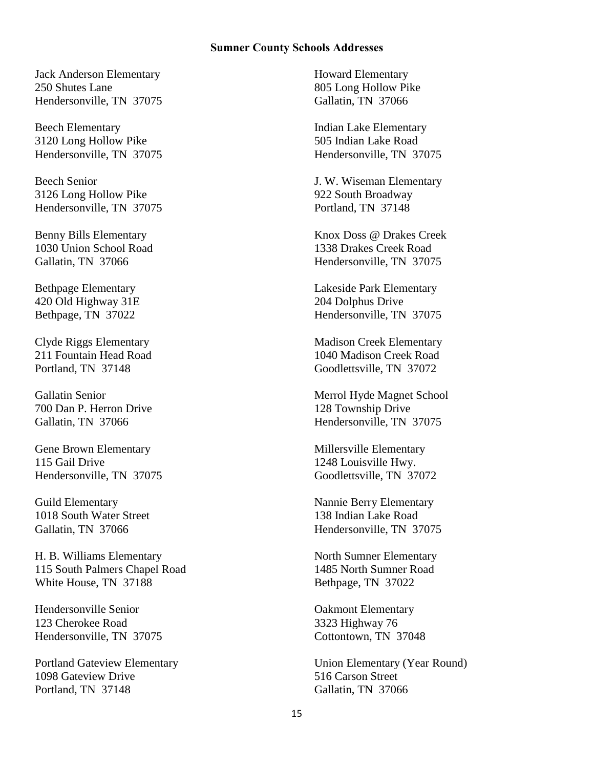#### **Sumner County Schools Addresses**

Jack Anderson Elementary Howard Elementary 250 Shutes Lane 805 Long Hollow Pike Hendersonville, TN 37075 Gallatin, TN 37066

Beech Elementary **Indian Lake Elementary** 3120 Long Hollow Pike 505 Indian Lake Road Hendersonville, TN 37075 Hendersonville, TN 37075

3126 Long Hollow Pike 922 South Broadway Hendersonville, TN 37075 Portland, TN 37148

1030 Union School Road 1338 Drakes Creek Road

420 Old Highway 31E 204 Dolphus Drive

700 Dan P. Herron Drive 128 Township Drive

Gene Brown Elementary **Construction** Elementary Millersville Elementary 115 Gail Drive 1248 Louisville Hwy. Hendersonville, TN 37075 Goodlettsville, TN 37072

Guild Elementary Nannie Berry Elementary 1018 South Water Street 138 Indian Lake Road

H. B. Williams Elementary North Sumner Elementary 115 South Palmers Chapel Road 1485 North Sumner Road White House, TN 37188 Bethpage, TN 37022

Hendersonville Senior Oakmont Elementary 123 Cherokee Road 3323 Highway 76 Hendersonville, TN 37075 Cottontown, TN 37048

1098 Gateview Drive 516 Carson Street Portland, TN 37148 Gallatin, TN 37066

Beech Senior J. W. Wiseman Elementary

Benny Bills Elementary Knox Doss @ Drakes Creek Gallatin, TN 37066 Hendersonville, TN 37075

Bethpage Elementary **Lakeside Park Elementary Lakeside Park Elementary** Bethpage, TN 37022 Hendersonville, TN 37075

Clyde Riggs Elementary Madison Creek Elementary 211 Fountain Head Road 1040 Madison Creek Road Portland, TN 37148 Goodlettsville, TN 37072

Gallatin Senior Merrol Hyde Magnet School Gallatin, TN 37066 Hendersonville, TN 37075

Gallatin, TN 37066 **Hendersonville, TN 37075** 

Portland Gateview Elementary Union Elementary (Year Round)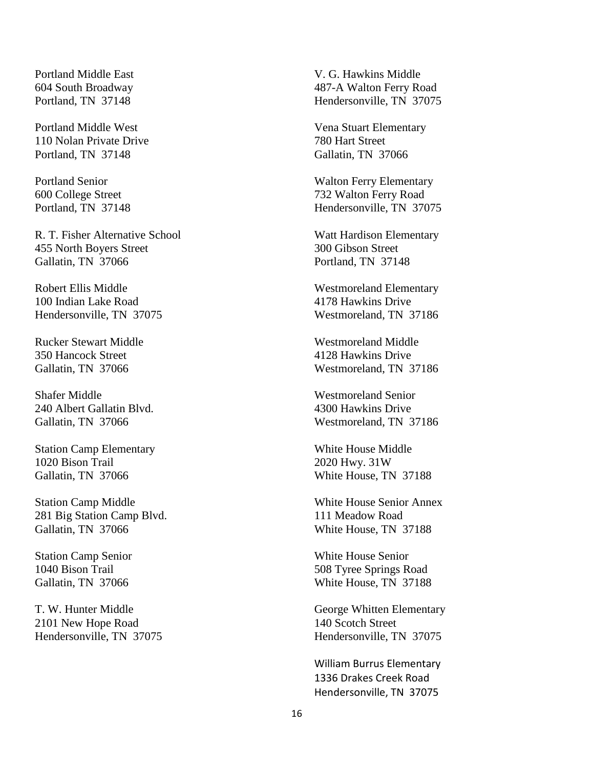Portland Middle West Vena Stuart Elementary 110 Nolan Private Drive 780 Hart Street Portland, TN 37148 Gallatin, TN 37066

R. T. Fisher Alternative School Watt Hardison Elementary 455 North Boyers Street 300 Gibson Street Gallatin, TN 37066 Portland, TN 37148

Robert Ellis Middle Westmoreland Elementary 100 Indian Lake Road 4178 Hawkins Drive Hendersonville, TN 37075 Westmoreland, TN 37186

Rucker Stewart Middle Westmoreland Middle 350 Hancock Street 4128 Hawkins Drive

Shafer Middle Westmoreland Senior 240 Albert Gallatin Blvd. 4300 Hawkins Drive

Station Camp Elementary White House Middle 1020 Bison Trail 2020 Hwy. 31W Gallatin, TN 37066 White House, TN 37188

Station Camp Middle White House Senior Annex 281 Big Station Camp Blvd. 111 Meadow Road Gallatin, TN 37066 Gallatin, TN 37188

T. W. Hunter Middle George Whitten Elementary 2101 New Hope Road 2101 New Hope Road 2101 New Hope Road 2101 New York 2012

Portland Middle East V. G. Hawkins Middle 604 South Broadway 487-A Walton Ferry Road Portland, TN 37148 Hendersonville, TN 37075

Portland Senior Walton Ferry Elementary 600 College Street 732 Walton Ferry Road Portland, TN 37148 Hendersonville, TN 37075

Gallatin, TN 37066 Westmoreland, TN 37186

Gallatin, TN 37066 Westmoreland, TN 37186

Station Camp Senior **White House Senior** White House Senior 1040 Bison Trail 508 Tyree Springs Road Gallatin, TN 37066 White House, TN 37188

Hendersonville, TN 37075 Hendersonville, TN 37075

 William Burrus Elementary 1336 Drakes Creek Road Hendersonville, TN 37075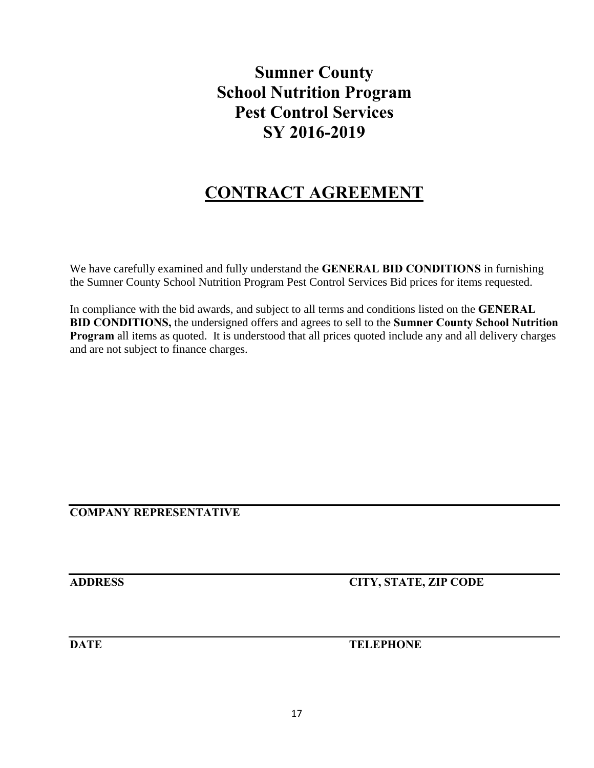# **Sumner County School Nutrition Program Pest Control Services SY 2016-2019**

# **CONTRACT AGREEMENT**

We have carefully examined and fully understand the **GENERAL BID CONDITIONS** in furnishing the Sumner County School Nutrition Program Pest Control Services Bid prices for items requested.

In compliance with the bid awards, and subject to all terms and conditions listed on the **GENERAL BID CONDITIONS,** the undersigned offers and agrees to sell to the **Sumner County School Nutrition Program** all items as quoted. It is understood that all prices quoted include any and all delivery charges and are not subject to finance charges.

**COMPANY REPRESENTATIVE** 

**ADDRESS CITY, STATE, ZIP CODE** 

**DATE** TELEPHONE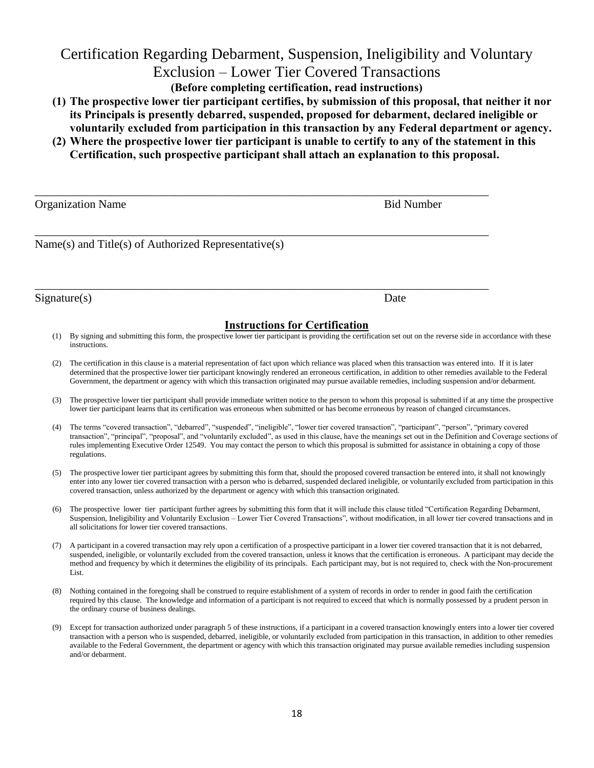# Certification Regarding Debarment, Suspension, Ineligibility and Voluntary Exclusion – Lower Tier Covered Transactions

**(Before completing certification, read instructions)** 

- **(1) The prospective lower tier participant certifies, by submission of this proposal, that neither it nor its Principals is presently debarred, suspended, proposed for debarment, declared ineligible or voluntarily excluded from participation in this transaction by any Federal department or agency.**
- **(2) Where the prospective lower tier participant is unable to certify to any of the statement in this Certification, such prospective participant shall attach an explanation to this proposal.**

| <b>Organization Name</b>                             | <b>Bid Number</b> |
|------------------------------------------------------|-------------------|
| Name(s) and Title(s) of Authorized Representative(s) |                   |
| Signature(s)                                         | Date              |

#### **Instructions for Certification**

- (1) By signing and submitting this form, the prospective lower tier participant is providing the certification set out on the reverse side in accordance with these instructions.
- (2) The certification in this clause is a material representation of fact upon which reliance was placed when this transaction was entered into. If it is later determined that the prospective lower tier participant knowingly rendered an erroneous certification, in addition to other remedies available to the Federal Government, the department or agency with which this transaction originated may pursue available remedies, including suspension and/or debarment.
- (3) The prospective lower tier participant shall provide immediate written notice to the person to whom this proposal is submitted if at any time the prospective lower tier participant learns that its certification was erroneous when submitted or has become erroneous by reason of changed circumstances.
- (4) The terms "covered transaction", "debarred", "suspended", "ineligible", "lower tier covered transaction", "participant", "person", "primary covered transaction", "principal", "proposal", and "voluntarily excluded", as used in this clause, have the meanings set out in the Definition and Coverage sections of rules implementing Executive Order 12549. You may contact the person to which this proposal is submitted for assistance in obtaining a copy of those regulations.
- (5) The prospective lower tier participant agrees by submitting this form that, should the proposed covered transaction be entered into, it shall not knowingly enter into any lower tier covered transaction with a person who is debarred, suspended declared ineligible, or voluntarily excluded from participation in this covered transaction, unless authorized by the department or agency with which this transaction originated.
- (6) The prospective lower tier participant further agrees by submitting this form that it will include this clause titled "Certification Regarding Debarment, Suspension, Ineligibility and Voluntarily Exclusion – Lower Tier Covered Transactions", without modification, in all lower tier covered transactions and in all solicitations for lower tier covered transactions.
- (7) A participant in a covered transaction may rely upon a certification of a prospective participant in a lower tier covered transaction that it is not debarred, suspended, ineligible, or voluntarily excluded from the covered transaction, unless it knows that the certification is erroneous. A participant may decide the method and frequency by which it determines the eligibility of its principals. Each participant may, but is not required to, check with the Non-procurement List.
- (8) Nothing contained in the foregoing shall be construed to require establishment of a system of records in order to render in good faith the certification required by this clause. The knowledge and information of a participant is not required to exceed that which is normally possessed by a prudent person in the ordinary course of business dealings.
- (9) Except for transaction authorized under paragraph 5 of these instructions, if a participant in a covered transaction knowingly enters into a lower tier covered transaction with a person who is suspended, debarred, ineligible, or voluntarily excluded from participation in this transaction, in addition to other remedies available to the Federal Government, the department or agency with which this transaction originated may pursue available remedies including suspension and/or debarment.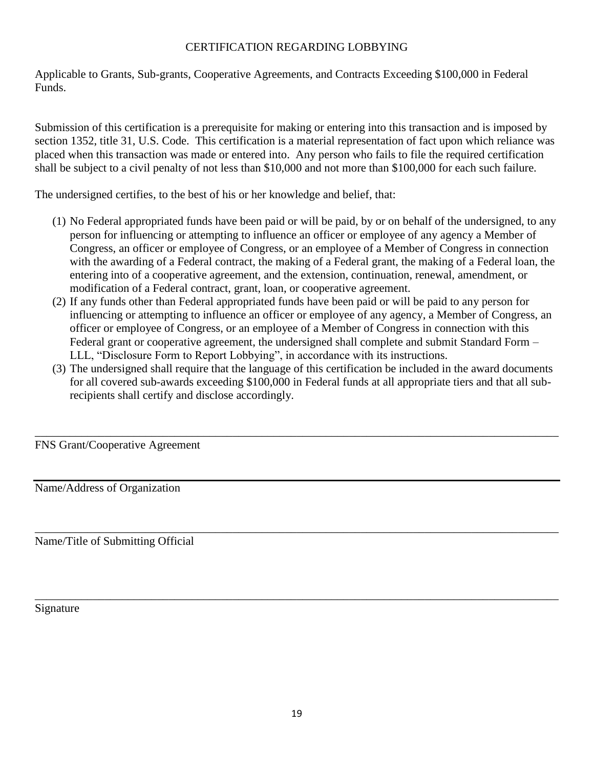#### CERTIFICATION REGARDING LOBBYING

Applicable to Grants, Sub-grants, Cooperative Agreements, and Contracts Exceeding \$100,000 in Federal Funds.

Submission of this certification is a prerequisite for making or entering into this transaction and is imposed by section 1352, title 31, U.S. Code. This certification is a material representation of fact upon which reliance was placed when this transaction was made or entered into. Any person who fails to file the required certification shall be subject to a civil penalty of not less than \$10,000 and not more than \$100,000 for each such failure.

The undersigned certifies, to the best of his or her knowledge and belief, that:

- (1) No Federal appropriated funds have been paid or will be paid, by or on behalf of the undersigned, to any person for influencing or attempting to influence an officer or employee of any agency a Member of Congress, an officer or employee of Congress, or an employee of a Member of Congress in connection with the awarding of a Federal contract, the making of a Federal grant, the making of a Federal loan, the entering into of a cooperative agreement, and the extension, continuation, renewal, amendment, or modification of a Federal contract, grant, loan, or cooperative agreement.
- (2) If any funds other than Federal appropriated funds have been paid or will be paid to any person for influencing or attempting to influence an officer or employee of any agency, a Member of Congress, an officer or employee of Congress, or an employee of a Member of Congress in connection with this Federal grant or cooperative agreement, the undersigned shall complete and submit Standard Form – LLL, "Disclosure Form to Report Lobbying", in accordance with its instructions.
- (3) The undersigned shall require that the language of this certification be included in the award documents for all covered sub-awards exceeding \$100,000 in Federal funds at all appropriate tiers and that all subrecipients shall certify and disclose accordingly.

\_\_\_\_\_\_\_\_\_\_\_\_\_\_\_\_\_\_\_\_\_\_\_\_\_\_\_\_\_\_\_\_\_\_\_\_\_\_\_\_\_\_\_\_\_\_\_\_\_\_\_\_\_\_\_\_\_\_\_\_\_\_\_\_\_\_\_\_\_\_\_\_\_\_\_\_\_\_\_\_\_\_\_\_\_\_\_\_\_\_

\_\_\_\_\_\_\_\_\_\_\_\_\_\_\_\_\_\_\_\_\_\_\_\_\_\_\_\_\_\_\_\_\_\_\_\_\_\_\_\_\_\_\_\_\_\_\_\_\_\_\_\_\_\_\_\_\_\_\_\_\_\_\_\_\_\_\_\_\_\_\_\_\_\_\_\_\_\_\_\_\_\_\_\_\_\_\_\_\_\_

\_\_\_\_\_\_\_\_\_\_\_\_\_\_\_\_\_\_\_\_\_\_\_\_\_\_\_\_\_\_\_\_\_\_\_\_\_\_\_\_\_\_\_\_\_\_\_\_\_\_\_\_\_\_\_\_\_\_\_\_\_\_\_\_\_\_\_\_\_\_\_\_\_\_\_\_\_\_\_\_\_\_\_\_\_\_\_\_\_\_

FNS Grant/Cooperative Agreement

Name/Address of Organization

Name/Title of Submitting Official

Signature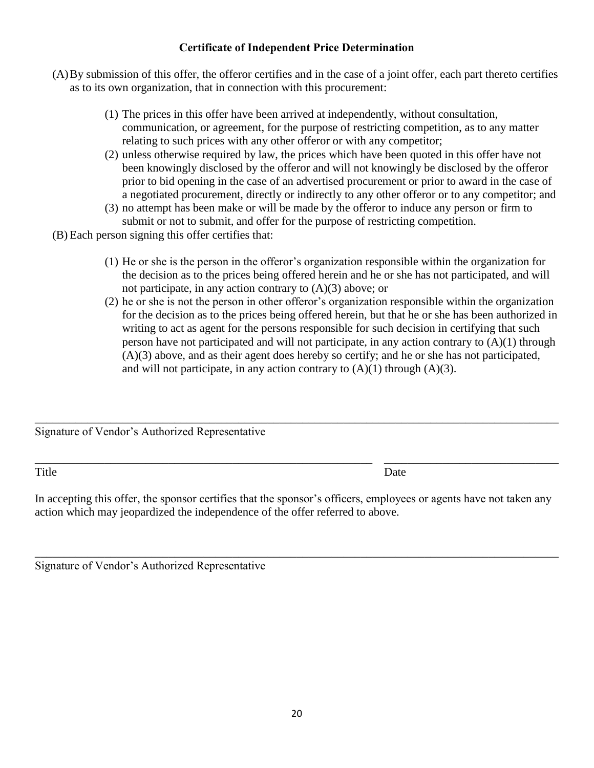# **Certificate of Independent Price Determination**

- (A)By submission of this offer, the offeror certifies and in the case of a joint offer, each part thereto certifies as to its own organization, that in connection with this procurement:
	- (1) The prices in this offer have been arrived at independently, without consultation, communication, or agreement, for the purpose of restricting competition, as to any matter relating to such prices with any other offeror or with any competitor;
	- (2) unless otherwise required by law, the prices which have been quoted in this offer have not been knowingly disclosed by the offeror and will not knowingly be disclosed by the offeror prior to bid opening in the case of an advertised procurement or prior to award in the case of a negotiated procurement, directly or indirectly to any other offeror or to any competitor; and
	- (3) no attempt has been make or will be made by the offeror to induce any person or firm to submit or not to submit, and offer for the purpose of restricting competition.
- (B) Each person signing this offer certifies that:
	- (1) He or she is the person in the offeror's organization responsible within the organization for the decision as to the prices being offered herein and he or she has not participated, and will not participate, in any action contrary to  $(A)(3)$  above; or
	- (2) he or she is not the person in other offeror's organization responsible within the organization for the decision as to the prices being offered herein, but that he or she has been authorized in writing to act as agent for the persons responsible for such decision in certifying that such person have not participated and will not participate, in any action contrary to  $(A)(1)$  through (A)(3) above, and as their agent does hereby so certify; and he or she has not participated, and will not participate, in any action contrary to  $(A)(1)$  through  $(A)(3)$ .

Signature of Vendor's Authorized Representative

Title Date

In accepting this offer, the sponsor certifies that the sponsor's officers, employees or agents have not taken any action which may jeopardized the independence of the offer referred to above.

\_\_\_\_\_\_\_\_\_\_\_\_\_\_\_\_\_\_\_\_\_\_\_\_\_\_\_\_\_\_\_\_\_\_\_\_\_\_\_\_\_\_\_\_\_\_\_\_\_\_\_\_\_\_\_\_\_\_\_\_\_\_\_\_\_\_\_\_\_\_\_\_\_\_\_\_\_\_\_\_\_\_\_\_\_\_\_\_\_\_

\_\_\_\_\_\_\_\_\_\_\_\_\_\_\_\_\_\_\_\_\_\_\_\_\_\_\_\_\_\_\_\_\_\_\_\_\_\_\_\_\_\_\_\_\_\_\_\_\_\_\_\_\_\_\_\_\_\_\_\_\_\_\_\_\_\_\_\_\_\_\_\_\_\_\_\_\_\_\_\_\_\_\_\_\_\_\_\_\_\_

\_\_\_\_\_\_\_\_\_\_\_\_\_\_\_\_\_\_\_\_\_\_\_\_\_\_\_\_\_\_\_\_\_\_\_\_\_\_\_\_\_\_\_\_\_\_\_\_\_\_\_\_\_\_\_\_\_\_ \_\_\_\_\_\_\_\_\_\_\_\_\_\_\_\_\_\_\_\_\_\_\_\_\_\_\_\_\_\_

| Signature of Vendor's Authorized Representative |  |  |  |  |  |
|-------------------------------------------------|--|--|--|--|--|
|-------------------------------------------------|--|--|--|--|--|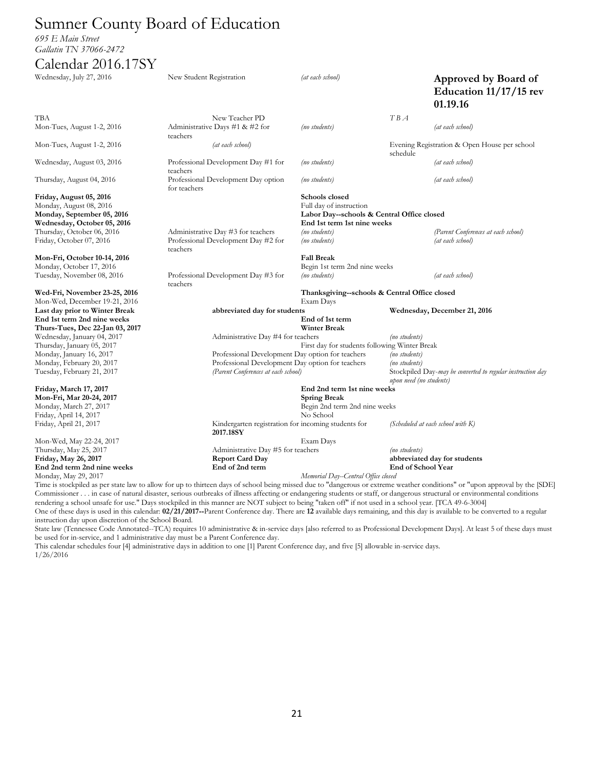# Sumner County Board of Education

*695 E Main Street Gallatin TN 37066-2472*

#### Calendar 2016.17SY

| Wednesday, July 27, 2016                              | New Student Registration                                                                                                                                                  | (at each school)                              |                                | Approved by Board of<br>Education 11/17/15 rev<br>01.19.16 |
|-------------------------------------------------------|---------------------------------------------------------------------------------------------------------------------------------------------------------------------------|-----------------------------------------------|--------------------------------|------------------------------------------------------------|
| <b>TBA</b>                                            | New Teacher PD                                                                                                                                                            |                                               | TBA                            |                                                            |
| Mon-Tues, August 1-2, 2016                            | Administrative Days #1 & #2 for<br>teachers                                                                                                                               | (no students)                                 |                                | (at each school)                                           |
| Mon-Tues, August 1-2, 2016                            | (at each school)                                                                                                                                                          |                                               | schedule                       | Evening Registration & Open House per school               |
| Wednesday, August 03, 2016                            | Professional Development Day #1 for<br>teachers                                                                                                                           | (no students)                                 |                                | (at each school)                                           |
| Thursday, August 04, 2016                             | Professional Development Day option<br>for teachers                                                                                                                       | (no students)                                 |                                | (at each school)                                           |
| Friday, August 05, 2016                               |                                                                                                                                                                           | Schools closed                                |                                |                                                            |
| Monday, August 08, 2016                               |                                                                                                                                                                           | Full day of instruction                       |                                |                                                            |
| Monday, September 05, 2016                            |                                                                                                                                                                           | Labor Day--schools & Central Office closed    |                                |                                                            |
| Wednesday, October 05, 2016                           |                                                                                                                                                                           | End 1st term 1st nine weeks                   |                                |                                                            |
| Thursday, October 06, 2016                            | Administrative Day #3 for teachers                                                                                                                                        | (no students)                                 |                                | (Parent Conferences at each school)                        |
| Friday, October 07, 2016                              | Professional Development Day #2 for<br>teachers                                                                                                                           | (no students)                                 |                                | (at each school)                                           |
| Mon-Fri, October 10-14, 2016                          |                                                                                                                                                                           | <b>Fall Break</b>                             |                                |                                                            |
| Monday, October 17, 2016                              |                                                                                                                                                                           | Begin 1st term 2nd nine weeks                 |                                |                                                            |
| Tuesday, November 08, 2016                            | Professional Development Day #3 for<br>teachers                                                                                                                           | (no students)                                 |                                | (at each school)                                           |
| Wed-Fri, November 23-25, 2016                         |                                                                                                                                                                           | Thanksgiving--schools & Central Office closed |                                |                                                            |
| Mon-Wed, December 19-21, 2016                         |                                                                                                                                                                           | Exam Days                                     |                                |                                                            |
| Last day prior to Winter Break                        | abbreviated day for students                                                                                                                                              |                                               |                                | Wednesday, December 21, 2016                               |
| End 1st term 2nd nine weeks                           |                                                                                                                                                                           | End of 1st term                               |                                |                                                            |
| Thurs-Tues, Dec 22-Jan 03, 2017                       |                                                                                                                                                                           | <b>Winter Break</b>                           |                                |                                                            |
| Wednesday, January 04, 2017                           | Administrative Day #4 for teachers                                                                                                                                        |                                               | (no students)                  |                                                            |
| Thursday, January 05, 2017                            |                                                                                                                                                                           | First day for students following Winter Break |                                |                                                            |
| Monday, January 16, 2017<br>Monday, February 20, 2017 | Professional Development Day option for teachers<br>Professional Development Day option for teachers                                                                      |                                               | (no students)<br>(no students) |                                                            |
| Tuesday, February 21, 2017                            | (Parent Conferences at each school)                                                                                                                                       |                                               |                                | Stockpiled Day-may be converted to regular instruction day |
|                                                       |                                                                                                                                                                           |                                               | upon need (no students)        |                                                            |
| Friday, March 17, 2017                                |                                                                                                                                                                           | End 2nd term 1st nine weeks                   |                                |                                                            |
| Mon-Fri, Mar 20-24, 2017                              |                                                                                                                                                                           | <b>Spring Break</b>                           |                                |                                                            |
| Monday, March 27, 2017                                |                                                                                                                                                                           | Begin 2nd term 2nd nine weeks                 |                                |                                                            |
| Friday, April 14, 2017                                |                                                                                                                                                                           | No School                                     |                                |                                                            |
| Friday, April 21, 2017                                | Kindergarten registration for incoming students for<br>2017.18SY                                                                                                          |                                               |                                | (Scheduled at each school with K)                          |
| Mon-Wed, May 22-24, 2017                              |                                                                                                                                                                           | Exam Days                                     |                                |                                                            |
| Thursday, May 25, 2017                                | Administrative Day #5 for teachers                                                                                                                                        |                                               | (no students)                  |                                                            |
| Friday, May 26, 2017                                  | <b>Report Card Day</b>                                                                                                                                                    |                                               |                                | abbreviated day for students                               |
| End 2nd term 2nd nine weeks                           | End of 2nd term                                                                                                                                                           |                                               | End of School Year             |                                                            |
| Monday, May 29, 2017                                  |                                                                                                                                                                           | Memorial Day--Central Office closed           |                                |                                                            |
|                                                       | Time is stockpiled as per state law to allow for up to thirteen days of school being missed due to "dangerous or extreme weather conditions" or "upon approval by the SDI |                                               |                                |                                                            |

Time is stockpiled as per state law to allow for up to thirteen days of school being missed due to "dangerous or extreme weather conditions" or "upon approval by the [SDE] Commissioner . . . in case of natural disaster, serious outbreaks of illness affecting or endangering students or staff, or dangerous structural or environmental conditions rendering a school unsafe for use." Days stockpiled in this manner are NOT subject to being "taken off" if not used in a school year. [TCA 49-6-3004] One of these days is used in this calendar: **02/21/2017--**Parent Conference day. There are **12** available days remaining, and this day is available to be converted to a regular instruction day upon discretion of the School Board.

State law (Tennessee Code Annotated--TCA) requires 10 administrative & in-service days [also referred to as Professional Development Days]. At least 5 of these days must be used for in-service, and 1 administrative day must be a Parent Conference day.

This calendar schedules four [4] administrative days in addition to one [1] Parent Conference day, and five [5] allowable in-service days. 1/26/2016